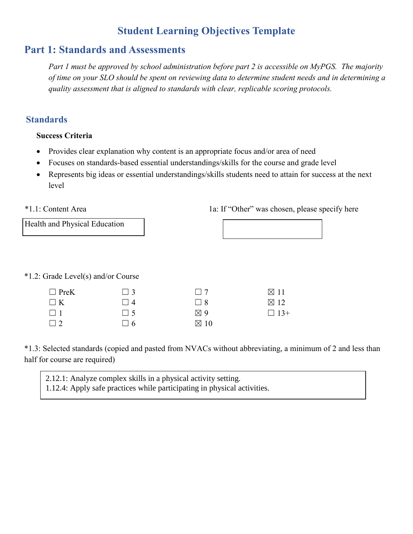# **Student Learning Objectives Template**

# **Part 1: Standards and Assessments**

*Part 1 must be approved by school administration before part 2 is accessible on MyPGS. The majority of time on your SLO should be spent on reviewing data to determine student needs and in determining a quality assessment that is aligned to standards with clear, replicable scoring protocols.*

### **Standards**

#### **Success Criteria**

- Provides clear explanation why content is an appropriate focus and/or area of need
- Focuses on standards-based essential understandings/skills for the course and grade level
- Represents big ideas or essential understandings/skills students need to attain for success at the next level

#### \*1.1: Content Area

1a: If "Other" was chosen, please specify here

| <b>Health and Physical Education</b> |  |
|--------------------------------------|--|
|                                      |  |

\*1.2: Grade Level(s) and/or Course

| $\Box$ PreK | $\Box$ 3    | $\Box$ 7       | $\boxtimes$ 11 |
|-------------|-------------|----------------|----------------|
| $\Box K$    | $\vert$   4 | 118            | $\boxtimes$ 12 |
| $\Box$ 1    | $\Box$ 5    | $\boxtimes$ 9  | $\Box$ 13+     |
| $\Box$ 2    | $\Box$ 6    | $\boxtimes$ 10 |                |

\*1.3: Selected standards (copied and pasted from NVACs without abbreviating, a minimum of 2 and less than half for course are required)

2.12.1: Analyze complex skills in a physical activity setting. 1.12.4: Apply safe practices while participating in physical activities.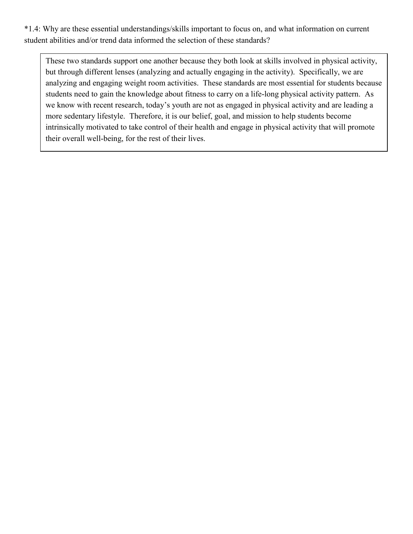\*1.4: Why are these essential understandings/skills important to focus on, and what information on current student abilities and/or trend data informed the selection of these standards?

These two standards support one another because they both look at skills involved in physical activity, but through different lenses (analyzing and actually engaging in the activity). Specifically, we are analyzing and engaging weight room activities. These standards are most essential for students because students need to gain the knowledge about fitness to carry on a life-long physical activity pattern. As we know with recent research, today's youth are not as engaged in physical activity and are leading a more sedentary lifestyle. Therefore, it is our belief, goal, and mission to help students become intrinsically motivated to take control of their health and engage in physical activity that will promote their overall well-being, for the rest of their lives.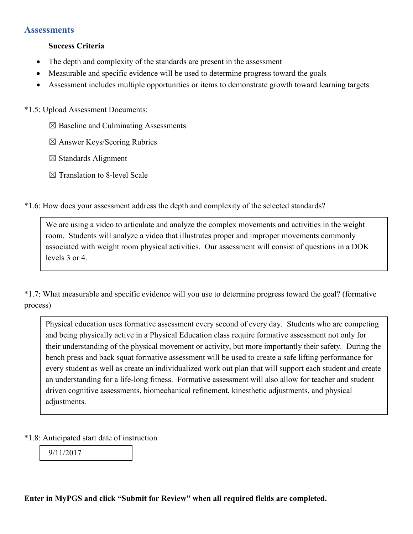#### **Assessments**

#### **Success Criteria**

- The depth and complexity of the standards are present in the assessment
- Measurable and specific evidence will be used to determine progress toward the goals
- Assessment includes multiple opportunities or items to demonstrate growth toward learning targets

\*1.5: Upload Assessment Documents:

- $\boxtimes$  Baseline and Culminating Assessments
- ☒ Answer Keys/Scoring Rubrics
- ☒ Standards Alignment
- ☒ Translation to 8-level Scale

\*1.6: How does your assessment address the depth and complexity of the selected standards?

We are using a video to articulate and analyze the complex movements and activities in the weight room. Students will analyze a video that illustrates proper and improper movements commonly associated with weight room physical activities. Our assessment will consist of questions in a DOK levels 3 or 4.

\*1.7: What measurable and specific evidence will you use to determine progress toward the goal? (formative process)

Physical education uses formative assessment every second of every day. Students who are competing and being physically active in a Physical Education class require formative assessment not only for their understanding of the physical movement or activity, but more importantly their safety. During the bench press and back squat formative assessment will be used to create a safe lifting performance for every student as well as create an individualized work out plan that will support each student and create an understanding for a life-long fitness. Formative assessment will also allow for teacher and student driven cognitive assessments, biomechanical refinement, kinesthetic adjustments, and physical adjustments.

\*1.8: Anticipated start date of instruction

9/11/2017

**Enter in MyPGS and click "Submit for Review" when all required fields are completed.**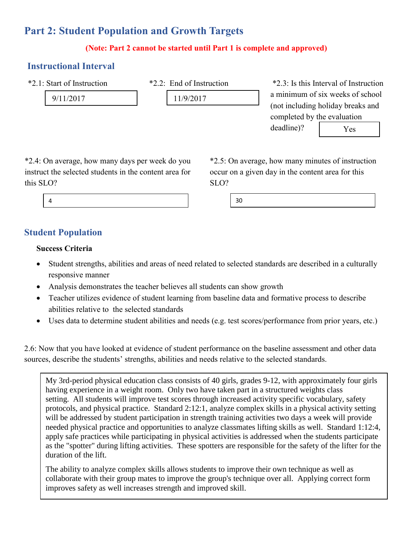# **Part 2: Student Population and Growth Targets**

#### **(Note: Part 2 cannot be started until Part 1 is complete and approved)**

### **Instructional Interval**

\*2.1: Start of Instruction

9/11/2017

\*2.2: End of Instruction

11/9/2017

\*2.3: Is this Interval of Instruction a minimum of six weeks of school (not including holiday breaks and completed by the evaluation deadline)? Yes

\*2.4: On average, how many days per week do you instruct the selected students in the content area for this SLO?

\*2.5: On average, how many minutes of instruction occur on a given day in the content area for this  $\text{SLO}$ ?

4 30

## **Student Population**

#### **Success Criteria**

- Student strengths, abilities and areas of need related to selected standards are described in a culturally responsive manner
- Analysis demonstrates the teacher believes all students can show growth
- Teacher utilizes evidence of student learning from baseline data and formative process to describe abilities relative to the selected standards
- Uses data to determine student abilities and needs (e.g. test scores/performance from prior years, etc.)

2.6: Now that you have looked at evidence of student performance on the baseline assessment and other data sources, describe the students' strengths, abilities and needs relative to the selected standards.

My 3rd-period physical education class consists of 40 girls, grades 9-12, with approximately four girls having experience in a weight room. Only two have taken part in a structured weights class setting. All students will improve test scores through increased activity specific vocabulary, safety protocols, and physical practice. Standard 2:12:1, analyze complex skills in a physical activity setting will be addressed by student participation in strength training activities two days a week will provide needed physical practice and opportunities to analyze classmates lifting skills as well. Standard 1:12:4, apply safe practices while participating in physical activities is addressed when the students participate as the "spotter" during lifting activities. These spotters are responsible for the safety of the lifter for the duration of the lift.

The ability to analyze complex skills allows students to improve their own technique as well as collaborate with their group mates to improve the group's technique over all. Applying correct form improves safety as well increases strength and improved skill.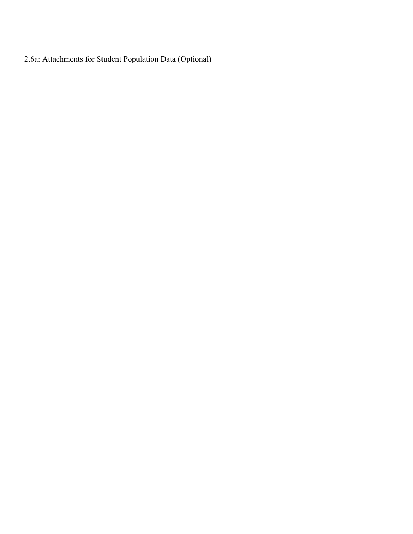2.6a: Attachments for Student Population Data (Optional)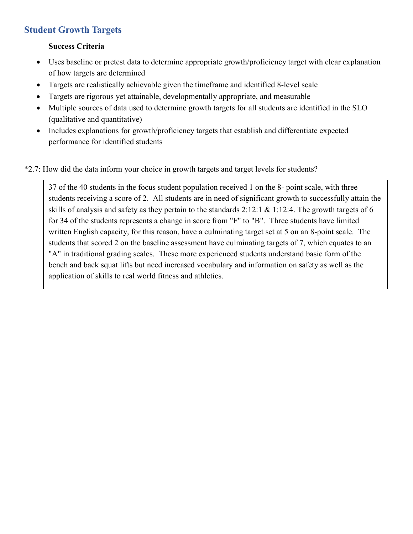## **Student Growth Targets**

#### **Success Criteria**

- Uses baseline or pretest data to determine appropriate growth/proficiency target with clear explanation of how targets are determined
- Targets are realistically achievable given the timeframe and identified 8-level scale
- Targets are rigorous yet attainable, developmentally appropriate, and measurable
- Multiple sources of data used to determine growth targets for all students are identified in the SLO (qualitative and quantitative)
- Includes explanations for growth/proficiency targets that establish and differentiate expected performance for identified students

\*2.7: How did the data inform your choice in growth targets and target levels for students?

37 of the 40 students in the focus student population received 1 on the 8- point scale, with three students receiving a score of 2. All students are in need of significant growth to successfully attain the skills of analysis and safety as they pertain to the standards 2:12:1 & 1:12:4. The growth targets of 6 for 34 of the students represents a change in score from "F" to "B". Three students have limited written English capacity, for this reason, have a culminating target set at 5 on an 8-point scale. The students that scored 2 on the baseline assessment have culminating targets of 7, which equates to an "A" in traditional grading scales. These more experienced students understand basic form of the bench and back squat lifts but need increased vocabulary and information on safety as well as the application of skills to real world fitness and athletics.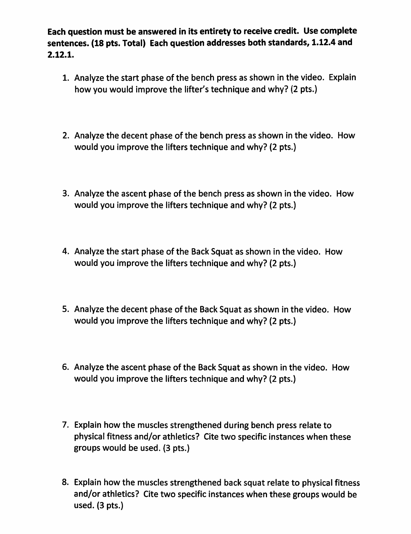Each question must be answered in its entirety to receive credit. Use complete sentences. (18 pts. Total) Each question addresses both standards, 1.12.4 and  $2.12.1.$ 

- 1. Analyze the start phase of the bench press as shown in the video. Explain how you would improve the lifter's technique and why? (2 pts.)
- 2. Analyze the decent phase of the bench press as shown in the video. How would you improve the lifters technique and why? (2 pts.)
- 3. Analyze the ascent phase of the bench press as shown in the video. How would you improve the lifters technique and why? (2 pts.)
- 4. Analyze the start phase of the Back Squat as shown in the video. How would you improve the lifters technique and why? (2 pts.)
- 5. Analyze the decent phase of the Back Squat as shown in the video. How would you improve the lifters technique and why? (2 pts.)
- 6. Analyze the ascent phase of the Back Squat as shown in the video. How would you improve the lifters technique and why? (2 pts.)
- 7. Explain how the muscles strengthened during bench press relate to physical fitness and/or athletics? Cite two specific instances when these groups would be used. (3 pts.)
- 8. Explain how the muscles strengthened back squat relate to physical fitness and/or athletics? Cite two specific instances when these groups would be used.  $(3 \text{ pts.})$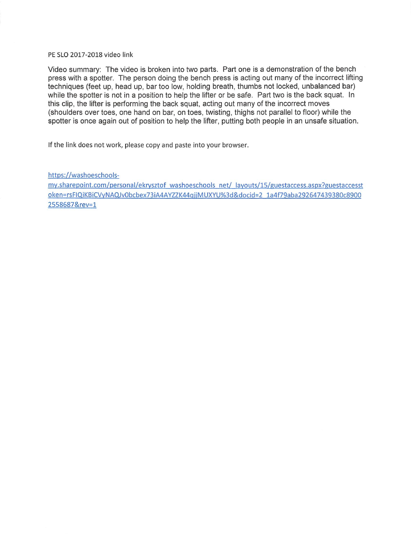PE SLO 2017-2018 video link

Video summary: The video is broken into two parts. Part one is a demonstration of the bench press with a spotter. The person doing the bench press is acting out many of the incorrect lifting techniques (feet up, head up, bar too low, holding breath, thumbs not locked, unbalanced bar) while the spotter is not in a position to help the lifter or be safe. Part two is the back squat. In this clip, the lifter is performing the back squat, acting out many of the incorrect moves (shoulders over toes, one hand on bar, on toes, twisting, thighs not parallel to floor) while the spotter is once again out of position to help the lifter, putting both people in an unsafe situation.

If the link does not work, please copy and paste into your browser.

https://washoeschools-

my.sharepoint.com/personal/ekrysztof washoeschools net/ layouts/15/guestaccess.aspx?guestaccesst oken=rsFIQiKBiCVyNAQJv0bcbex73iA4AYZZK44qjjMUXYU%3d&docid=2\_1a4f79aba292647439380c8900 2558687&rev=1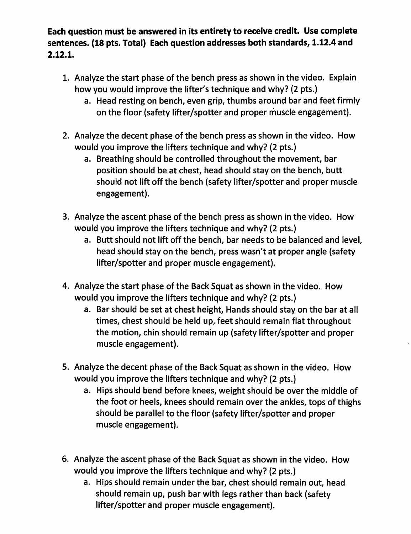Each question must be answered in its entirety to receive credit. Use complete sentences. (18 pts. Total) Each question addresses both standards, 1.12.4 and  $2.12.1.$ 

- 1. Analyze the start phase of the bench press as shown in the video. Explain how you would improve the lifter's technique and why? (2 pts.)
	- a. Head resting on bench, even grip, thumbs around bar and feet firmly on the floor (safety lifter/spotter and proper muscle engagement).
- 2. Analyze the decent phase of the bench press as shown in the video. How would you improve the lifters technique and why? (2 pts.)
	- a. Breathing should be controlled throughout the movement, bar position should be at chest, head should stay on the bench, butt should not lift off the bench (safety lifter/spotter and proper muscle engagement).
- 3. Analyze the ascent phase of the bench press as shown in the video. How would you improve the lifters technique and why? (2 pts.)
	- a. Butt should not lift off the bench, bar needs to be balanced and level, head should stay on the bench, press wasn't at proper angle (safety lifter/spotter and proper muscle engagement).
- 4. Analyze the start phase of the Back Squat as shown in the video. How would you improve the lifters technique and why? (2 pts.)
	- a. Bar should be set at chest height, Hands should stay on the bar at all times, chest should be held up, feet should remain flat throughout the motion, chin should remain up (safety lifter/spotter and proper muscle engagement).
- 5. Analyze the decent phase of the Back Squat as shown in the video. How would you improve the lifters technique and why? (2 pts.)
	- a. Hips should bend before knees, weight should be over the middle of the foot or heels, knees should remain over the ankles, tops of thighs should be parallel to the floor (safety lifter/spotter and proper muscle engagement).
- 6. Analyze the ascent phase of the Back Squat as shown in the video. How would you improve the lifters technique and why? (2 pts.)
	- a. Hips should remain under the bar, chest should remain out, head should remain up, push bar with legs rather than back (safety lifter/spotter and proper muscle engagement).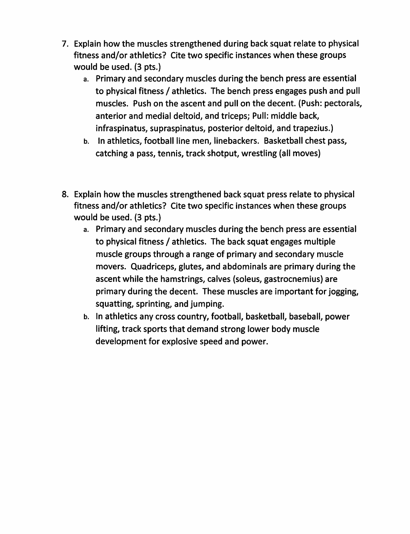- 7. Explain how the muscles strengthened during back squat relate to physical fitness and/or athletics? Cite two specific instances when these groups would be used. (3 pts.)
	- a. Primary and secondary muscles during the bench press are essential to physical fitness / athletics. The bench press engages push and pull muscles. Push on the ascent and pull on the decent. (Push: pectorals, anterior and medial deltoid, and triceps; Pull: middle back, infraspinatus, supraspinatus, posterior deltoid, and trapezius.)
	- b. In athletics, football line men, linebackers. Basketball chest pass, catching a pass, tennis, track shotput, wrestling (all moves)
- 8. Explain how the muscles strengthened back squat press relate to physical fitness and/or athletics? Cite two specific instances when these groups would be used. (3 pts.)
	- a. Primary and secondary muscles during the bench press are essential to physical fitness / athletics. The back squat engages multiple muscle groups through a range of primary and secondary muscle movers. Quadriceps, glutes, and abdominals are primary during the ascent while the hamstrings, calves (soleus, gastrocnemius) are primary during the decent. These muscles are important for jogging, squatting, sprinting, and jumping.
	- b. In athletics any cross country, football, basketball, baseball, power lifting, track sports that demand strong lower body muscle development for explosive speed and power.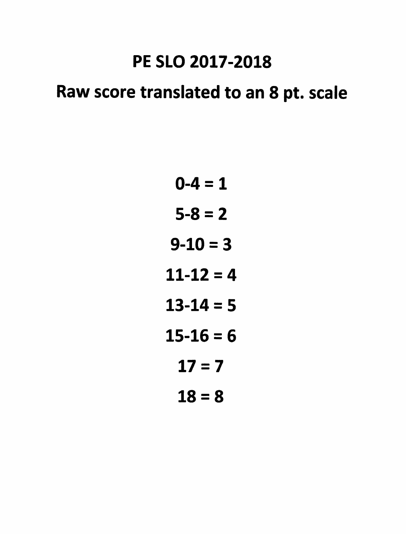# PE SLO 2017-2018

# Raw score translated to an 8 pt. scale

- $0 4 = 1$
- $5 8 = 2$
- $9 10 = 3$
- $11-12=4$
- $13 14 = 5$
- $15 16 = 6$ 
	- $17 = 7$
	- $18 = 8$